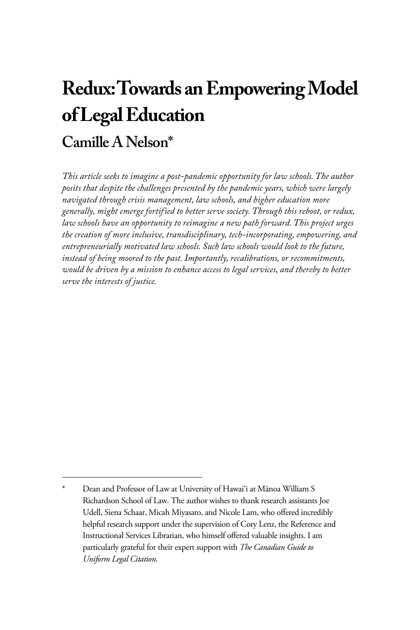# **Redux: Towards an Empowering Model of Legal Education Camille A Nelson\***

*This article seeks to imagine a post-pandemic opportunity for law schools. The author posits that despite the challenges presented by the pandemic years, which were largely navigated through crisis management, law schools, and higher education more generally, might emerge fortified to better serve society. Through this reboot, or redux, law schools have an opportunity to reimagine a new path forward. This project urges the creation of more inclusive, transdisciplinary, tech-incorporating, empowering, and entrepreneurially motivated law schools. Such law schools would look to the future, instead of being moored to the past. Importantly, recalibrations, or recommitments, would be driven by a mission to enhance access to legal services, and thereby to better serve the interests of justice.*

Dean and Professor of Law at University of Hawai'i at Mānoa William S Richardson School of Law. The author wishes to thank research assistants Joe Udell, Siena Schaar, Micah Miyasato, and Nicole Lam, who offered incredibly helpful research support under the supervision of Cory Lenz, the Reference and Instructional Services Librarian, who himself offered valuable insights. I am particularly grateful for their expert support with *The Canadian Guide to Uniform Legal Citation*.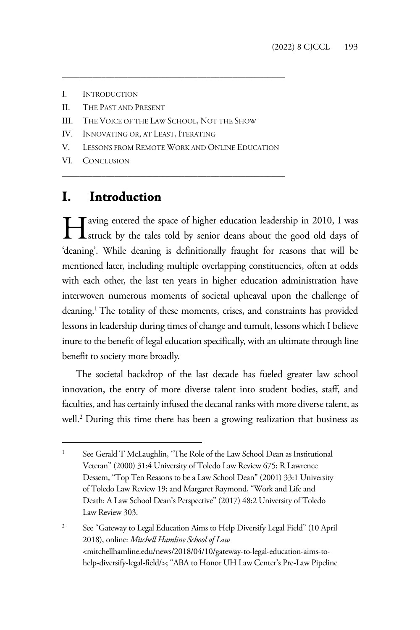- I. INTRODUCTION
- II. THE PAST AND PRESENT
- III. THE VOICE OF THE LAW SCHOOL, NOT THE SHOW
- IV. INNOVATING OR, AT LEAST, ITERATING
- V. LESSONS FROM REMOTE WORK AND ONLINE EDUCATION

\_\_\_\_\_\_\_\_\_\_\_\_\_\_\_\_\_\_\_\_\_\_\_\_\_\_\_\_\_\_\_\_\_\_\_\_\_\_\_\_\_\_\_\_\_\_\_\_\_\_\_

\_\_\_\_\_\_\_\_\_\_\_\_\_\_\_\_\_\_\_\_\_\_\_\_\_\_\_\_\_\_\_\_\_\_\_\_\_\_\_\_\_\_\_\_\_\_\_\_\_\_\_

VI. CONCLUSION

## **I. Introduction**

Faving entered the space of higher education leadership in 2010, I was struck by the tales told by senior deans about the good old days of **L** struck by the tales told by senior deans about the good old days of 'deaning'. While deaning is definitionally fraught for reasons that will be mentioned later, including multiple overlapping constituencies, often at odds with each other, the last ten years in higher education administration have interwoven numerous moments of societal upheaval upon the challenge of deaning.1 The totality of these moments, crises, and constraints has provided lessons in leadership during times of change and tumult, lessons which I believe inure to the benefit of legal education specifically, with an ultimate through line benefit to society more broadly.

The societal backdrop of the last decade has fueled greater law school innovation, the entry of more diverse talent into student bodies, staff, and faculties, and has certainly infused the decanal ranks with more diverse talent, as well.<sup>2</sup> During this time there has been a growing realization that business as

2 See "Gateway to Legal Education Aims to Help Diversify Legal Field" (10 April 2018), online: *Mitchell Hamline School of Law* <mitchellhamline.edu/news/2018/04/10/gateway-to-legal-education-aims-tohelp-diversify-legal-field/>; "ABA to Honor UH Law Center's Pre-Law Pipeline

<sup>1</sup> See Gerald T McLaughlin, "The Role of the Law School Dean as Institutional Veteran" (2000) 31:4 University of Toledo Law Review 675; R Lawrence Dessem, "Top Ten Reasons to be a Law School Dean" (2001) 33:1 University of Toledo Law Review 19; and Margaret Raymond, "Work and Life and Death: A Law School Dean's Perspective" (2017) 48:2 University of Toledo Law Review 303.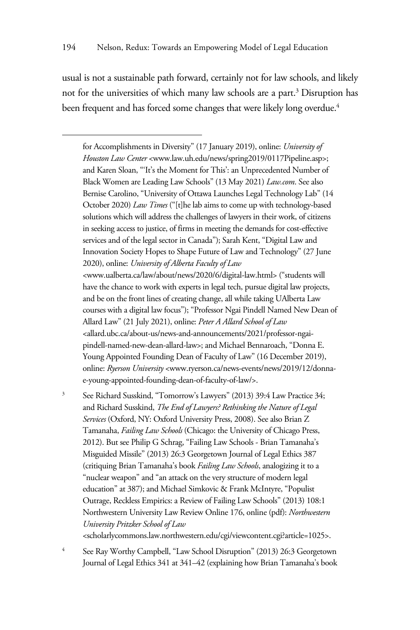usual is not a sustainable path forward, certainly not for law schools, and likely not for the universities of which many law schools are a part.<sup>3</sup> Disruption has been frequent and has forced some changes that were likely long overdue.<sup>4</sup>

for Accomplishments in Diversity" (17 January 2019), online: *University of Houston Law Center* <www.law.uh.edu/news/spring2019/0117Pipeline.asp>; and Karen Sloan, "'It's the Moment for This': an Unprecedented Number of Black Women are Leading Law Schools" (13 May 2021) *Law.com*. See also Bernise Carolino, "University of Ottawa Launches Legal Technology Lab" (14 October 2020) *Law Times* ("[t]he lab aims to come up with technology-based solutions which will address the challenges of lawyers in their work, of citizens in seeking access to justice, of firms in meeting the demands for cost-effective services and of the legal sector in Canada"); Sarah Kent, "Digital Law and Innovation Society Hopes to Shape Future of Law and Technology" (27 June 2020), online: *University of Alberta Faculty of Law*  <www.ualberta.ca/law/about/news/2020/6/digital-law.html> ("students will have the chance to work with experts in legal tech, pursue digital law projects, and be on the front lines of creating change, all while taking UAlberta Law courses with a digital law focus"); "Professor Ngai Pindell Named New Dean of Allard Law" (21 July 2021), online: *Peter A Allard School of Law*  <allard.ubc.ca/about-us/news-and-announcements/2021/professor-ngaipindell-named-new-dean-allard-law>; and Michael Bennaroach, "Donna E. Young Appointed Founding Dean of Faculty of Law" (16 December 2019), online: *Ryerson University* <www.ryerson.ca/news-events/news/2019/12/donnae-young-appointed-founding-dean-of-faculty-of-law/>.

3 See Richard Susskind, "Tomorrow's Lawyers" (2013) 39:4 Law Practice 34; and Richard Susskind, *The End of Lawyers? Rethinking the Nature of Legal Services* (Oxford, NY: Oxford University Press, 2008). See also Brian Z Tamanaha, *Failing Law Schools* (Chicago: the University of Chicago Press, 2012). But see Philip G Schrag, "Failing Law Schools - Brian Tamanaha's Misguided Missile" (2013) 26:3 Georgetown Journal of Legal Ethics 387 (critiquing Brian Tamanaha's book *Failing Law Schools*, analogizing it to a "nuclear weapon" and "an attack on the very structure of modern legal education" at 387); and Michael Simkovic & Frank McIntyre, "Populist Outrage, Reckless Empirics: a Review of Failing Law Schools" (2013) 108:1 Northwestern University Law Review Online 176, online (pdf): *Northwestern University Pritzker School of Law*

<scholarlycommons.law.northwestern.edu/cgi/viewcontent.cgi?article=1025>.

4 See Ray Worthy Campbell, "Law School Disruption" (2013) 26:3 Georgetown Journal of Legal Ethics 341 at 341–42 (explaining how Brian Tamanaha's book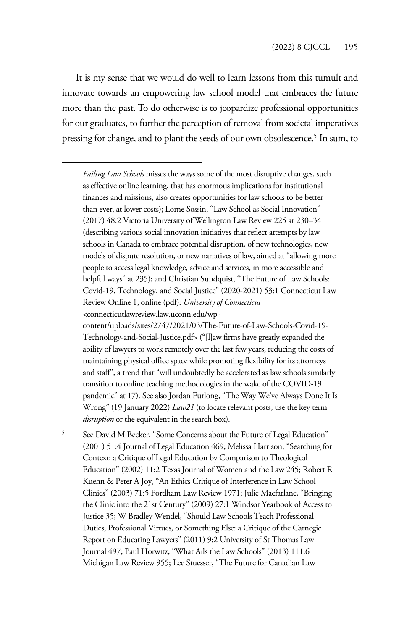It is my sense that we would do well to learn lessons from this tumult and innovate towards an empowering law school model that embraces the future more than the past. To do otherwise is to jeopardize professional opportunities for our graduates, to further the perception of removal from societal imperatives pressing for change, and to plant the seeds of our own obsolescence.<sup>5</sup> In sum, to

*Failing Law Schools* misses the ways some of the most disruptive changes, such as effective online learning, that has enormous implications for institutional finances and missions, also creates opportunities for law schools to be better than ever, at lower costs); Lorne Sossin, "Law School as Social Innovation" (2017) 48:2 Victoria University of Wellington Law Review 225 at 230–34 (describing various social innovation initiatives that reflect attempts by law schools in Canada to embrace potential disruption, of new technologies, new models of dispute resolution, or new narratives of law, aimed at "allowing more people to access legal knowledge, advice and services, in more accessible and helpful ways" at 235); and Christian Sundquist, "The Future of Law Schools: Covid-19, Technology, and Social Justice" (2020-2021) 53:1 Connecticut Law Review Online 1, online (pdf): *University of Connecticut*

5 See David M Becker, "Some Concerns about the Future of Legal Education" (2001) 51:4 Journal of Legal Education 469; Melissa Harrison, "Searching for Context: a Critique of Legal Education by Comparison to Theological Education" (2002) 11:2 Texas Journal of Women and the Law 245; Robert R Kuehn & Peter A Joy, "An Ethics Critique of Interference in Law School Clinics" (2003) 71:5 Fordham Law Review 1971; Julie Macfarlane, "Bringing the Clinic into the 21st Century" (2009) 27:1 Windsor Yearbook of Access to Justice 35; W Bradley Wendel, "Should Law Schools Teach Professional Duties, Professional Virtues, or Something Else: a Critique of the Carnegie Report on Educating Lawyers" (2011) 9:2 University of St Thomas Law Journal 497; Paul Horwitz, "What Ails the Law Schools" (2013) 111:6 Michigan Law Review 955; Lee Stuesser, "The Future for Canadian Law

<sup>&</sup>lt;connecticutlawreview.law.uconn.edu/wp-

content/uploads/sites/2747/2021/03/The-Future-of-Law-Schools-Covid-19- Technology-and-Social-Justice.pdf> ("[l]aw firms have greatly expanded the ability of lawyers to work remotely over the last few years, reducing the costs of maintaining physical office space while promoting flexibility for its attorneys and staff", a trend that "will undoubtedly be accelerated as law schools similarly transition to online teaching methodologies in the wake of the COVID-19 pandemic" at 17). See also Jordan Furlong, "The Way We've Always Done It Is Wrong" (19 January 2022) *Law21* (to locate relevant posts, use the key term *disruption* or the equivalent in the search box).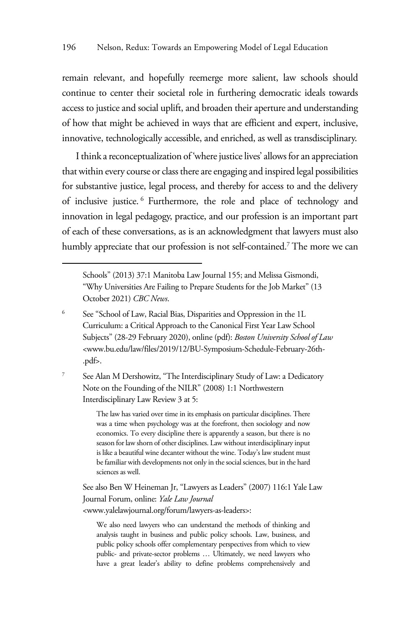remain relevant, and hopefully reemerge more salient, law schools should continue to center their societal role in furthering democratic ideals towards access to justice and social uplift, and broaden their aperture and understanding of how that might be achieved in ways that are efficient and expert, inclusive, innovative, technologically accessible, and enriched, as well as transdisciplinary.

I think a reconceptualization of 'where justice lives' allows for an appreciation that within every course or class there are engaging and inspired legal possibilities for substantive justice, legal process, and thereby for access to and the delivery of inclusive justice. <sup>6</sup> Furthermore, the role and place of technology and innovation in legal pedagogy, practice, and our profession is an important part of each of these conversations, as is an acknowledgment that lawyers must also humbly appreciate that our profession is not self-contained.<sup>7</sup> The more we can

7 See Alan M Dershowitz, "The Interdisciplinary Study of Law: a Dedicatory Note on the Founding of the NILR" (2008) 1:1 Northwestern Interdisciplinary Law Review 3 at 5:

> The law has varied over time in its emphasis on particular disciplines. There was a time when psychology was at the forefront, then sociology and now economics. To every discipline there is apparently a season, but there is no season for law shorn of other disciplines. Law without interdisciplinary input is like a beautiful wine decanter without the wine. Today's law student must be familiar with developments not only in the social sciences, but in the hard sciences as well.

See also Ben W Heineman Jr, "Lawyers as Leaders" (2007) 116:1 Yale Law Journal Forum, online: *Yale Law Journal* <www.yalelawjournal.org/forum/lawyers-as-leaders>:

We also need lawyers who can understand the methods of thinking and analysis taught in business and public policy schools. Law, business, and public policy schools offer complementary perspectives from which to view public- and private-sector problems … Ultimately, we need lawyers who have a great leader's ability to define problems comprehensively and

Schools" (2013) 37:1 Manitoba Law Journal 155; and Melissa Gismondi, "Why Universities Are Failing to Prepare Students for the Job Market" (13 October 2021) *CBC News*.

<sup>6</sup> See "School of Law, Racial Bias, Disparities and Oppression in the 1L Curriculum: a Critical Approach to the Canonical First Year Law School Subjects" (28-29 February 2020), online (pdf): *Boston University School of Law* <www.bu.edu/law/files/2019/12/BU-Symposium-Schedule-February-26th- .pdf>.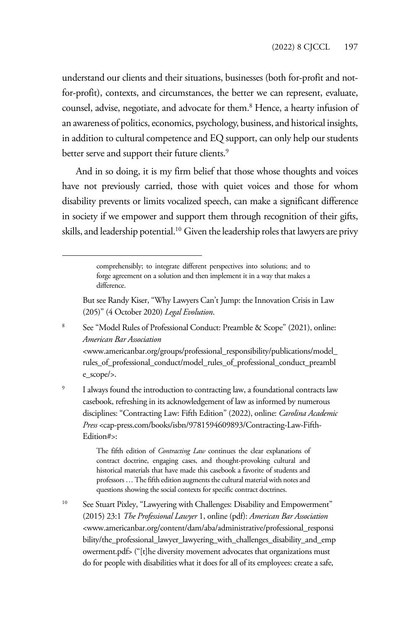understand our clients and their situations, businesses (both for-profit and notfor-profit), contexts, and circumstances, the better we can represent, evaluate, counsel, advise, negotiate, and advocate for them.<sup>8</sup> Hence, a hearty infusion of an awareness of politics, economics, psychology, business, and historical insights, in addition to cultural competence and EQ support, can only help our students better serve and support their future clients.<sup>9</sup>

And in so doing, it is my firm belief that those whose thoughts and voices have not previously carried, those with quiet voices and those for whom disability prevents or limits vocalized speech, can make a significant difference in society if we empower and support them through recognition of their gifts, skills, and leadership potential.<sup>10</sup> Given the leadership roles that lawyers are privy

- 8 See "Model Rules of Professional Conduct: Preamble & Scope" (2021), online: *American Bar Association* <www.americanbar.org/groups/professional\_responsibility/publications/model\_ rules\_of\_professional\_conduct/model\_rules\_of\_professional\_conduct\_preambl e\_scope/>.
- 9 I always found the introduction to contracting law, a foundational contracts law casebook, refreshing in its acknowledgement of law as informed by numerous disciplines: "Contracting Law: Fifth Edition" (2022), online: *Carolina Academic Press* <cap-press.com/books/isbn/9781594609893/Contracting-Law-Fifth-Edition#>:

The fifth edition of *Contracting Law* continues the clear explanations of contract doctrine, engaging cases, and thought-provoking cultural and historical materials that have made this casebook a favorite of students and professors … The fifth edition augments the cultural material with notes and questions showing the social contexts for specific contract doctrines.

<sup>10</sup> See Stuart Pixley, "Lawyering with Challenges: Disability and Empowerment" (2015) 23:1 *The Professional Lawyer* 1, online (pdf): *American Bar Association* <www.americanbar.org/content/dam/aba/administrative/professional\_responsi bility/the\_professional\_lawyer\_lawyering\_with\_challenges\_disability\_and\_emp owerment.pdf> ("[t]he diversity movement advocates that organizations must do for people with disabilities what it does for all of its employees: create a safe,

comprehensibly; to integrate different perspectives into solutions; and to forge agreement on a solution and then implement it in a way that makes a difference.

But see Randy Kiser, "Why Lawyers Can't Jump: the Innovation Crisis in Law (205)" (4 October 2020) *Legal Evolution*.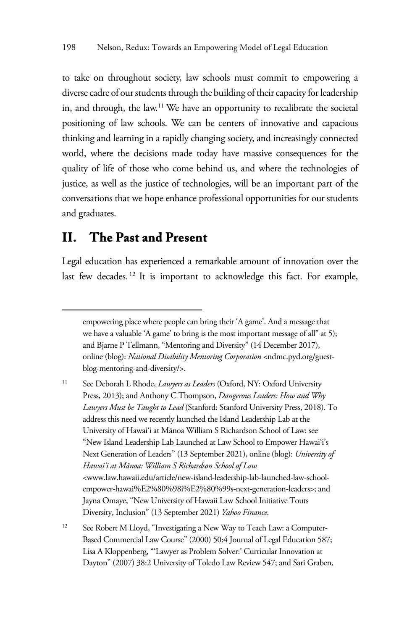to take on throughout society, law schools must commit to empowering a diverse cadre of our students through the building of their capacity for leadership in, and through, the law.11 We have an opportunity to recalibrate the societal positioning of law schools. We can be centers of innovative and capacious thinking and learning in a rapidly changing society, and increasingly connected world, where the decisions made today have massive consequences for the quality of life of those who come behind us, and where the technologies of justice, as well as the justice of technologies, will be an important part of the conversations that we hope enhance professional opportunities for our students and graduates.

#### **II. The Past and Present**

Legal education has experienced a remarkable amount of innovation over the last few decades.<sup>12</sup> It is important to acknowledge this fact. For example,

11 See Deborah L Rhode, *Lawyers as Leaders* (Oxford, NY: Oxford University Press, 2013); and Anthony C Thompson, *Dangerous Leaders: How and Why Lawyers Must be Taught to Lead* (Stanford: Stanford University Press, 2018). To address this need we recently launched the Island Leadership Lab at the University of Hawai'i at Mānoa William S Richardson School of Law: see "New Island Leadership Lab Launched at Law School to Empower Hawai'i's Next Generation of Leaders" (13 September 2021), online (blog): *University of Hawai'i at Mānoa: William S Richardson School of Law* <www.law.hawaii.edu/article/new-island-leadership-lab-launched-law-schoolempower-hawai%E2%80%98i%E2%80%99s-next-generation-leaders>; and Jayna Omaye, "New University of Hawaii Law School Initiative Touts Diversity, Inclusion" (13 September 2021) *Yahoo Finance*.

<sup>12</sup> See Robert M Lloyd, "Investigating a New Way to Teach Law: a Computer-Based Commercial Law Course" (2000) 50:4 Journal of Legal Education 587; Lisa A Kloppenberg, "'Lawyer as Problem Solver:' Curricular Innovation at Dayton" (2007) 38:2 University of Toledo Law Review 547; and Sari Graben,

empowering place where people can bring their 'A game'. And a message that we have a valuable 'A game' to bring is the most important message of all" at 5); and Bjarne P Tellmann, "Mentoring and Diversity" (14 December 2017), online (blog): *National Disability Mentoring Corporation* <ndmc.pyd.org/guestblog-mentoring-and-diversity/>.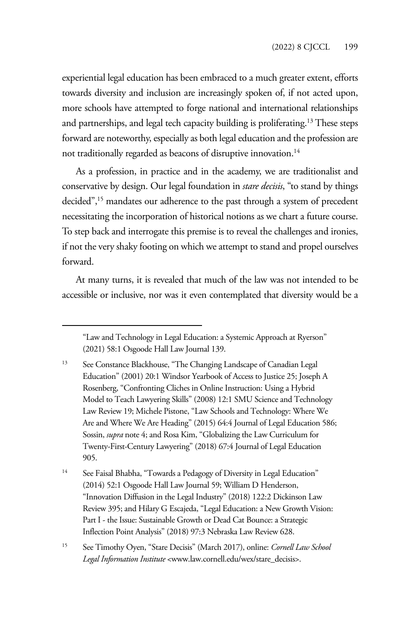experiential legal education has been embraced to a much greater extent, efforts towards diversity and inclusion are increasingly spoken of, if not acted upon, more schools have attempted to forge national and international relationships and partnerships, and legal tech capacity building is proliferating.13 These steps forward are noteworthy, especially as both legal education and the profession are not traditionally regarded as beacons of disruptive innovation.<sup>14</sup>

As a profession, in practice and in the academy, we are traditionalist and conservative by design. Our legal foundation in *stare decisis*, "to stand by things decided",15 mandates our adherence to the past through a system of precedent necessitating the incorporation of historical notions as we chart a future course. To step back and interrogate this premise is to reveal the challenges and ironies, if not the very shaky footing on which we attempt to stand and propel ourselves forward.

At many turns, it is revealed that much of the law was not intended to be accessible or inclusive, nor was it even contemplated that diversity would be a

<sup>&</sup>quot;Law and Technology in Legal Education: a Systemic Approach at Ryerson" (2021) 58:1 Osgoode Hall Law Journal 139.

<sup>&</sup>lt;sup>13</sup> See Constance Blackhouse, "The Changing Landscape of Canadian Legal Education" (2001) 20:1 Windsor Yearbook of Access to Justice 25; Joseph A Rosenberg, "Confronting Cliches in Online Instruction: Using a Hybrid Model to Teach Lawyering Skills" (2008) 12:1 SMU Science and Technology Law Review 19; Michele Pistone, "Law Schools and Technology: Where We Are and Where We Are Heading" (2015) 64:4 Journal of Legal Education 586; Sossin, *supra* note 4; and Rosa Kim, "Globalizing the Law Curriculum for Twenty-First-Century Lawyering" (2018) 67:4 Journal of Legal Education 905.

<sup>&</sup>lt;sup>14</sup> See Faisal Bhabha, "Towards a Pedagogy of Diversity in Legal Education" (2014) 52:1 Osgoode Hall Law Journal 59; William D Henderson, "Innovation Diffusion in the Legal Industry" (2018) 122:2 Dickinson Law Review 395; and Hilary G Escajeda, "Legal Education: a New Growth Vision: Part I - the Issue: Sustainable Growth or Dead Cat Bounce: a Strategic Inflection Point Analysis" (2018) 97:3 Nebraska Law Review 628.

<sup>15</sup> See Timothy Oyen, "Stare Decisis" (March 2017), online: *Cornell Law School Legal Information Institute* <www.law.cornell.edu/wex/stare\_decisis>.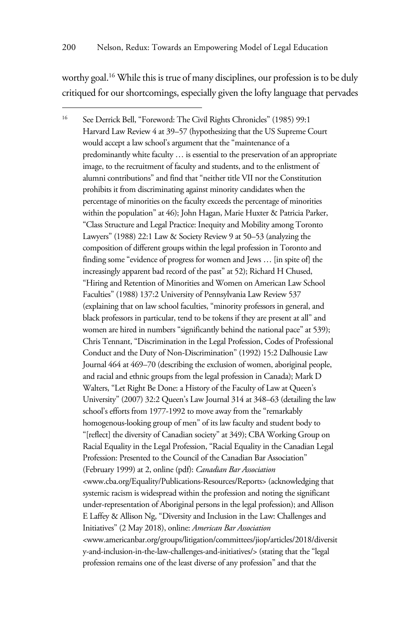worthy goal.<sup>16</sup> While this is true of many disciplines, our profession is to be duly critiqued for our shortcomings, especially given the lofty language that pervades

<sup>16</sup> See Derrick Bell, "Foreword: The Civil Rights Chronicles" (1985) 99:1 Harvard Law Review 4 at 39–57 (hypothesizing that the US Supreme Court would accept a law school's argument that the "maintenance of a predominantly white faculty … is essential to the preservation of an appropriate image, to the recruitment of faculty and students, and to the enlistment of alumni contributions" and find that "neither title VII nor the Constitution prohibits it from discriminating against minority candidates when the percentage of minorities on the faculty exceeds the percentage of minorities within the population" at 46); John Hagan, Marie Huxter & Patricia Parker, "Class Structure and Legal Practice: Inequity and Mobility among Toronto Lawyers" (1988) 22:1 Law & Society Review 9 at 50–53 (analyzing the composition of different groups within the legal profession in Toronto and finding some "evidence of progress for women and Jews … [in spite of] the increasingly apparent bad record of the past" at 52); Richard H Chused, "Hiring and Retention of Minorities and Women on American Law School Faculties" (1988) 137:2 University of Pennsylvania Law Review 537 (explaining that on law school faculties, "minority professors in general, and black professors in particular, tend to be tokens if they are present at all" and women are hired in numbers "significantly behind the national pace" at 539); Chris Tennant, "Discrimination in the Legal Profession, Codes of Professional Conduct and the Duty of Non-Discrimination" (1992) 15:2 Dalhousie Law Journal 464 at 469–70 (describing the exclusion of women, aboriginal people, and racial and ethnic groups from the legal profession in Canada); Mark D Walters, "Let Right Be Done: a History of the Faculty of Law at Queen's University" (2007) 32:2 Queen's Law Journal 314 at 348–63 (detailing the law school's efforts from 1977-1992 to move away from the "remarkably homogenous-looking group of men" of its law faculty and student body to "[reflect] the diversity of Canadian society" at 349); CBA Working Group on Racial Equality in the Legal Profession, "Racial Equality in the Canadian Legal Profession: Presented to the Council of the Canadian Bar Association" (February 1999) at 2, online (pdf): *Canadian Bar Association*  <www.cba.org/Equality/Publications-Resources/Reports> (acknowledging that systemic racism is widespread within the profession and noting the significant under-representation of Aboriginal persons in the legal profession); and Allison E Laffey & Allison Ng, "Diversity and Inclusion in the Law: Challenges and Initiatives" (2 May 2018), online: *American Bar Association*  <www.americanbar.org/groups/litigation/committees/jiop/articles/2018/diversit y-and-inclusion-in-the-law-challenges-and-initiatives/> (stating that the "legal profession remains one of the least diverse of any profession" and that the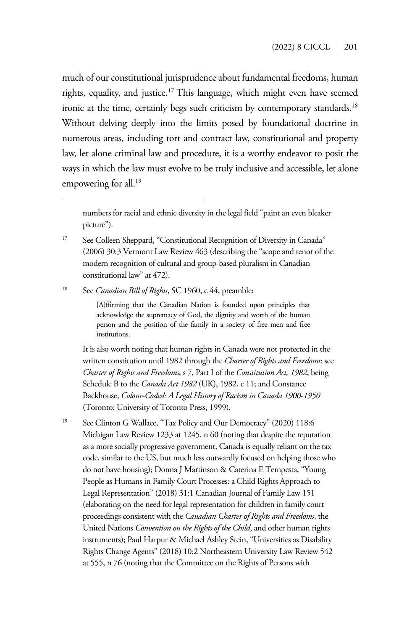much of our constitutional jurisprudence about fundamental freedoms, human rights, equality, and justice.<sup>17</sup> This language, which might even have seemed ironic at the time, certainly begs such criticism by contemporary standards.<sup>18</sup> Without delving deeply into the limits posed by foundational doctrine in numerous areas, including tort and contract law, constitutional and property law, let alone criminal law and procedure, it is a worthy endeavor to posit the ways in which the law must evolve to be truly inclusive and accessible, let alone empowering for all.<sup>19</sup>

numbers for racial and ethnic diversity in the legal field "paint an even bleaker picture").

<sup>17</sup> See Colleen Sheppard, "Constitutional Recognition of Diversity in Canada" (2006) 30:3 Vermont Law Review 463 (describing the "scope and tenor of the modern recognition of cultural and group-based pluralism in Canadian constitutional law" at 472).

18 See *Canadian Bill of Rights*, SC 1960, c 44, preamble:

[A]ffirming that the Canadian Nation is founded upon principles that acknowledge the supremacy of God, the dignity and worth of the human person and the position of the family in a society of free men and free institutions.

It is also worth noting that human rights in Canada were not protected in the written constitution until 1982 through the *Charter of Rights and Freedoms*: see *Charter of Rights and Freedoms*, s 7, Part I of the *Constitution Act, 1982*, being Schedule B to the *Canada Act 1982* (UK), 1982, c 11; and Constance Backhouse, *Colour-Coded: A Legal History of Racism in Canada 1900-1950* (Toronto: University of Toronto Press, 1999).

19 See Clinton G Wallace, "Tax Policy and Our Democracy" (2020) 118:6 Michigan Law Review 1233 at 1245, n 60 (noting that despite the reputation as a more socially progressive government, Canada is equally reliant on the tax code, similar to the US, but much less outwardly focused on helping those who do not have housing); Donna J Martinson & Caterina E Tempesta, "Young People as Humans in Family Court Processes: a Child Rights Approach to Legal Representation" (2018) 31:1 Canadian Journal of Family Law 151 (elaborating on the need for legal representation for children in family court proceedings consistent with the *Canadian Charter of Rights and Freedoms*, the United Nations *Convention on the Rights of the Child*, and other human rights instruments); Paul Harpur & Michael Ashley Stein, "Universities as Disability Rights Change Agents" (2018) 10:2 Northeastern University Law Review 542 at 555, n 76 (noting that the Committee on the Rights of Persons with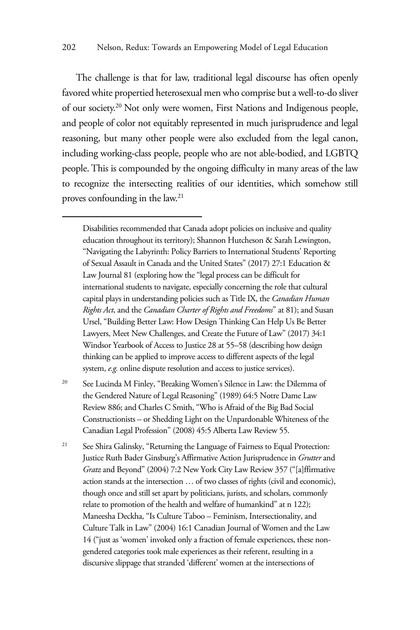The challenge is that for law, traditional legal discourse has often openly favored white propertied heterosexual men who comprise but a well-to-do sliver of our society.20 Not only were women, First Nations and Indigenous people, and people of color not equitably represented in much jurisprudence and legal reasoning, but many other people were also excluded from the legal canon, including working-class people, people who are not able-bodied, and LGBTQ people. This is compounded by the ongoing difficulty in many areas of the law to recognize the intersecting realities of our identities, which somehow still proves confounding in the law.21

Disabilities recommended that Canada adopt policies on inclusive and quality education throughout its territory); Shannon Hutcheson & Sarah Lewington, "Navigating the Labyrinth: Policy Barriers to International Students' Reporting of Sexual Assault in Canada and the United States" (2017) 27:1 Education & Law Journal 81 (exploring how the "legal process can be difficult for international students to navigate, especially concerning the role that cultural capital plays in understanding policies such as Title IX, the *Canadian Human Rights Act*, and the *Canadian Charter of Rights and Freedoms*" at 81); and Susan Ursel, "Building Better Law: How Design Thinking Can Help Us Be Better Lawyers, Meet New Challenges, and Create the Future of Law" (2017) 34:1 Windsor Yearbook of Access to Justice 28 at 55–58 (describing how design thinking can be applied to improve access to different aspects of the legal system, *e.g.* online dispute resolution and access to justice services).

<sup>20</sup> See Lucinda M Finley, "Breaking Women's Silence in Law: the Dilemma of the Gendered Nature of Legal Reasoning" (1989) 64:5 Notre Dame Law Review 886; and Charles C Smith, "Who is Afraid of the Big Bad Social Constructionists – or Shedding Light on the Unpardonable Whiteness of the Canadian Legal Profession" (2008) 45:5 Alberta Law Review 55.

<sup>21</sup> See Shira Galinsky, "Returning the Language of Fairness to Equal Protection: Justice Ruth Bader Ginsburg's Affirmative Action Jurisprudence in *Grutter* and *Gratz* and Beyond" (2004) 7:2 New York City Law Review 357 ("[a]ffirmative action stands at the intersection … of two classes of rights (civil and economic), though once and still set apart by politicians, jurists, and scholars, commonly relate to promotion of the health and welfare of humankind" at n 122); Maneesha Deckha, "Is Culture Taboo – Feminism, Intersectionality, and Culture Talk in Law" (2004) 16:1 Canadian Journal of Women and the Law 14 ("just as 'women' invoked only a fraction of female experiences, these nongendered categories took male experiences as their referent, resulting in a discursive slippage that stranded 'different' women at the intersections of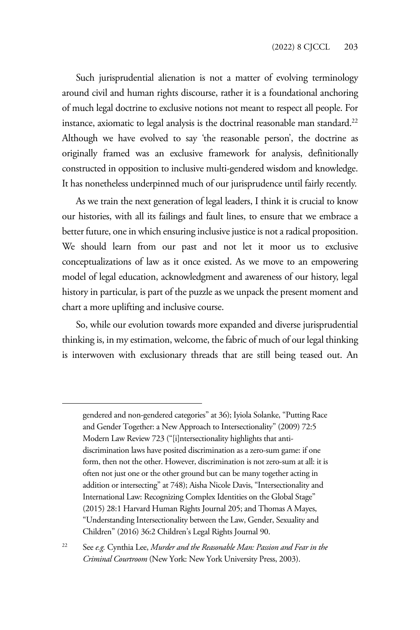Such jurisprudential alienation is not a matter of evolving terminology around civil and human rights discourse, rather it is a foundational anchoring of much legal doctrine to exclusive notions not meant to respect all people. For instance, axiomatic to legal analysis is the doctrinal reasonable man standard.<sup>22</sup> Although we have evolved to say 'the reasonable person', the doctrine as originally framed was an exclusive framework for analysis, definitionally constructed in opposition to inclusive multi-gendered wisdom and knowledge. It has nonetheless underpinned much of our jurisprudence until fairly recently.

As we train the next generation of legal leaders, I think it is crucial to know our histories, with all its failings and fault lines, to ensure that we embrace a better future, one in which ensuring inclusive justice is not a radical proposition. We should learn from our past and not let it moor us to exclusive conceptualizations of law as it once existed. As we move to an empowering model of legal education, acknowledgment and awareness of our history, legal history in particular, is part of the puzzle as we unpack the present moment and chart a more uplifting and inclusive course.

So, while our evolution towards more expanded and diverse jurisprudential thinking is, in my estimation, welcome, the fabric of much of our legal thinking is interwoven with exclusionary threads that are still being teased out. An

gendered and non-gendered categories" at 36); Iyiola Solanke, "Putting Race and Gender Together: a New Approach to Intersectionality" (2009) 72:5 Modern Law Review 723 ("[i]ntersectionality highlights that antidiscrimination laws have posited discrimination as a zero-sum game: if one form, then not the other. However, discrimination is not zero-sum at all: it is often not just one or the other ground but can be many together acting in addition or intersecting" at 748); Aisha Nicole Davis, "Intersectionality and International Law: Recognizing Complex Identities on the Global Stage" (2015) 28:1 Harvard Human Rights Journal 205; and Thomas A Mayes, "Understanding Intersectionality between the Law, Gender, Sexuality and Children" (2016) 36:2 Children's Legal Rights Journal 90.

<sup>22</sup> See *e.g.* Cynthia Lee, *Murder and the Reasonable Man: Passion and Fear in the Criminal Courtroom* (New York: New York University Press, 2003).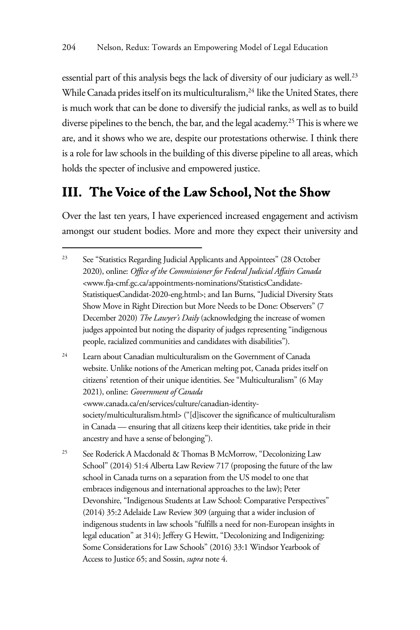essential part of this analysis begs the lack of diversity of our judiciary as well.<sup>23</sup> While Canada prides itself on its multiculturalism,<sup>24</sup> like the United States, there is much work that can be done to diversify the judicial ranks, as well as to build diverse pipelines to the bench, the bar, and the legal academy.<sup>25</sup> This is where we are, and it shows who we are, despite our protestations otherwise. I think there is a role for law schools in the building of this diverse pipeline to all areas, which holds the specter of inclusive and empowered justice.

### **III. The Voice of the Law School, Not the Show**

Over the last ten years, I have experienced increased engagement and activism amongst our student bodies. More and more they expect their university and

<sup>24</sup> Learn about Canadian multiculturalism on the Government of Canada website. Unlike notions of the American melting pot, Canada prides itself on citizens' retention of their unique identities. See "Multiculturalism" (6 May 2021), online: *Government of Canada* <www.canada.ca/en/services/culture/canadian-identitysociety/multiculturalism.html> ("[d]iscover the significance of multiculturalism in Canada — ensuring that all citizens keep their identities, take pride in their ancestry and have a sense of belonging").

<sup>25</sup> See Roderick A Macdonald & Thomas B McMorrow, "Decolonizing Law School" (2014) 51:4 Alberta Law Review 717 (proposing the future of the law school in Canada turns on a separation from the US model to one that embraces indigenous and international approaches to the law); Peter Devonshire, "Indigenous Students at Law School: Comparative Perspectives" (2014) 35:2 Adelaide Law Review 309 (arguing that a wider inclusion of indigenous students in law schools "fulfills a need for non-European insights in legal education" at 314); Jeffery G Hewitt, "Decolonizing and Indigenizing: Some Considerations for Law Schools" (2016) 33:1 Windsor Yearbook of Access to Justice 65; and Sossin, *supra* note 4.

<sup>&</sup>lt;sup>23</sup> See "Statistics Regarding Judicial Applicants and Appointees" (28 October 2020), online: *Office of the Commissioner for Federal Judicial Affairs Canada*  <www.fja-cmf.gc.ca/appointments-nominations/StatisticsCandidate-StatistiquesCandidat-2020-eng.html>; and Ian Burns, "Judicial Diversity Stats Show Move in Right Direction but More Needs to be Done: Observers" (7 December 2020) *The Lawyer's Daily* (acknowledging the increase of women judges appointed but noting the disparity of judges representing "indigenous people, racialized communities and candidates with disabilities").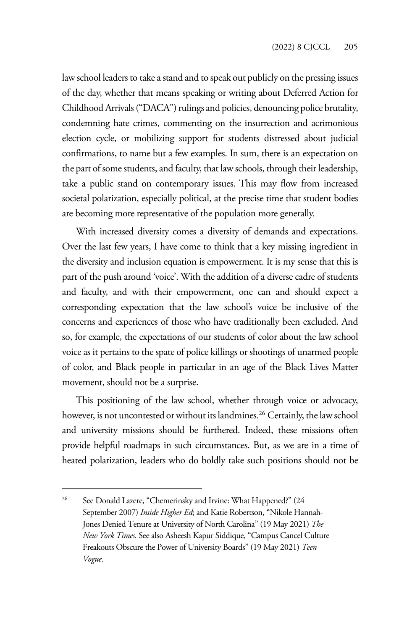law school leaders to take a stand and to speak out publicly on the pressing issues of the day, whether that means speaking or writing about Deferred Action for Childhood Arrivals ("DACA") rulings and policies, denouncing police brutality, condemning hate crimes, commenting on the insurrection and acrimonious election cycle, or mobilizing support for students distressed about judicial confirmations, to name but a few examples. In sum, there is an expectation on the part of some students, and faculty, that law schools, through their leadership, take a public stand on contemporary issues. This may flow from increased societal polarization, especially political, at the precise time that student bodies are becoming more representative of the population more generally.

With increased diversity comes a diversity of demands and expectations. Over the last few years, I have come to think that a key missing ingredient in the diversity and inclusion equation is empowerment. It is my sense that this is part of the push around 'voice'. With the addition of a diverse cadre of students and faculty, and with their empowerment, one can and should expect a corresponding expectation that the law school's voice be inclusive of the concerns and experiences of those who have traditionally been excluded. And so, for example, the expectations of our students of color about the law school voice as it pertains to the spate of police killings or shootings of unarmed people of color, and Black people in particular in an age of the Black Lives Matter movement, should not be a surprise.

This positioning of the law school, whether through voice or advocacy, however, is not uncontested or without its landmines.<sup>26</sup> Certainly, the law school and university missions should be furthered. Indeed, these missions often provide helpful roadmaps in such circumstances. But, as we are in a time of heated polarization, leaders who do boldly take such positions should not be

<sup>&</sup>lt;sup>26</sup> See Donald Lazere, "Chemerinsky and Irvine: What Happened?" (24 September 2007) *Inside Higher Ed*; and Katie Robertson, "Nikole Hannah-Jones Denied Tenure at University of North Carolina" (19 May 2021) *The New York Times*. See also Asheesh Kapur Siddique, "Campus Cancel Culture Freakouts Obscure the Power of University Boards" (19 May 2021) *Teen Vogue*.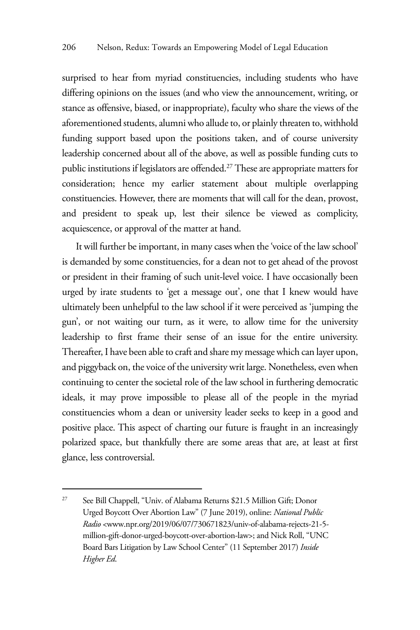surprised to hear from myriad constituencies, including students who have differing opinions on the issues (and who view the announcement, writing, or stance as offensive, biased, or inappropriate), faculty who share the views of the aforementioned students, alumni who allude to, or plainly threaten to, withhold funding support based upon the positions taken, and of course university leadership concerned about all of the above, as well as possible funding cuts to public institutions if legislators are offended.27 These are appropriate matters for consideration; hence my earlier statement about multiple overlapping constituencies. However, there are moments that will call for the dean, provost, and president to speak up, lest their silence be viewed as complicity, acquiescence, or approval of the matter at hand.

It will further be important, in many cases when the 'voice of the law school' is demanded by some constituencies, for a dean not to get ahead of the provost or president in their framing of such unit-level voice. I have occasionally been urged by irate students to 'get a message out', one that I knew would have ultimately been unhelpful to the law school if it were perceived as 'jumping the gun', or not waiting our turn, as it were, to allow time for the university leadership to first frame their sense of an issue for the entire university. Thereafter, I have been able to craft and share my message which can layer upon, and piggyback on, the voice of the university writ large. Nonetheless, even when continuing to center the societal role of the law school in furthering democratic ideals, it may prove impossible to please all of the people in the myriad constituencies whom a dean or university leader seeks to keep in a good and positive place. This aspect of charting our future is fraught in an increasingly polarized space, but thankfully there are some areas that are, at least at first glance, less controversial.

<sup>&</sup>lt;sup>27</sup> See Bill Chappell, "Univ. of Alabama Returns \$21.5 Million Gift; Donor Urged Boycott Over Abortion Law" (7 June 2019), online: *National Public Radio* <www.npr.org/2019/06/07/730671823/univ-of-alabama-rejects-21-5 million-gift-donor-urged-boycott-over-abortion-law>; and Nick Roll, "UNC Board Bars Litigation by Law School Center" (11 September 2017) *Inside Higher Ed*.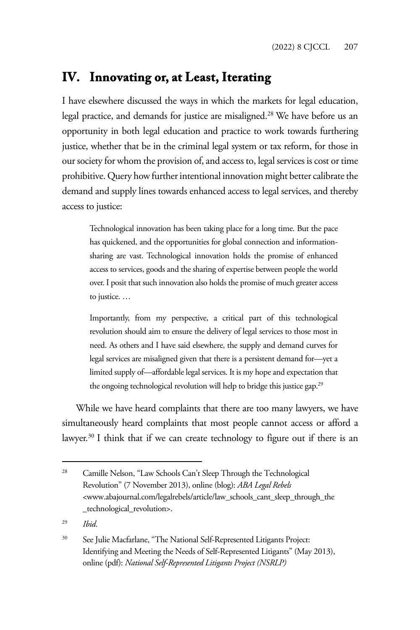## **IV. Innovating or, at Least, Iterating**

I have elsewhere discussed the ways in which the markets for legal education, legal practice, and demands for justice are misaligned.28 We have before us an opportunity in both legal education and practice to work towards furthering justice, whether that be in the criminal legal system or tax reform, for those in our society for whom the provision of, and access to, legal services is cost or time prohibitive. Query how further intentional innovation might better calibrate the demand and supply lines towards enhanced access to legal services, and thereby access to justice:

Technological innovation has been taking place for a long time. But the pace has quickened, and the opportunities for global connection and informationsharing are vast. Technological innovation holds the promise of enhanced access to services, goods and the sharing of expertise between people the world over. I posit that such innovation also holds the promise of much greater access to justice. …

Importantly, from my perspective, a critical part of this technological revolution should aim to ensure the delivery of legal services to those most in need. As others and I have said elsewhere, the supply and demand curves for legal services are misaligned given that there is a persistent demand for—yet a limited supply of—affordable legal services. It is my hope and expectation that the ongoing technological revolution will help to bridge this justice gap.<sup>29</sup>

While we have heard complaints that there are too many lawyers, we have simultaneously heard complaints that most people cannot access or afford a lawyer.<sup>30</sup> I think that if we can create technology to figure out if there is an

<sup>&</sup>lt;sup>28</sup> Camille Nelson, "Law Schools Can't Sleep Through the Technological Revolution" (7 November 2013), online (blog): *ABA Legal Rebels* <www.abajournal.com/legalrebels/article/law\_schools\_cant\_sleep\_through\_the \_technological\_revolution>.

<sup>29</sup> *Ibid*.

<sup>&</sup>lt;sup>30</sup> See Julie Macfarlane, "The National Self-Represented Litigants Project: Identifying and Meeting the Needs of Self-Represented Litigants" (May 2013), online (pdf): *National Self-Represented Litigants Project (NSRLP)*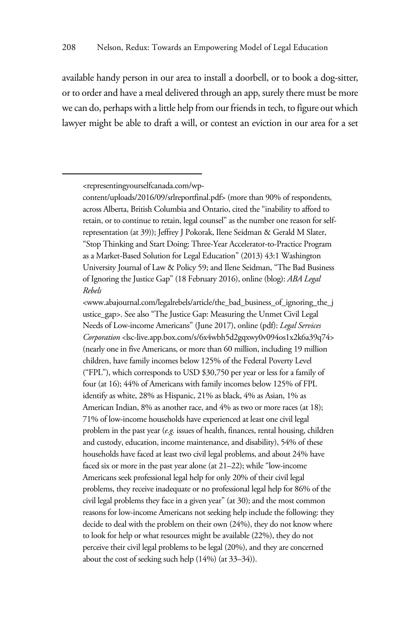available handy person in our area to install a doorbell, or to book a dog-sitter, or to order and have a meal delivered through an app, surely there must be more we can do, perhaps with a little help from our friends in tech, to figure out which lawyer might be able to draft a will, or contest an eviction in our area for a set

<www.abajournal.com/legalrebels/article/the\_bad\_business\_of\_ignoring\_the\_j ustice\_gap>. See also "The Justice Gap: Measuring the Unmet Civil Legal Needs of Low-income Americans" (June 2017), online (pdf): *Legal Services Corporation* <lsc-live.app.box.com/s/6x4wbh5d2gqxwy0v094os1x2k6a39q74> (nearly one in five Americans, or more than 60 million, including 19 million children, have family incomes below 125% of the Federal Poverty Level ("FPL"), which corresponds to USD \$30,750 per year or less for a family of four (at 16); 44% of Americans with family incomes below 125% of FPL identify as white, 28% as Hispanic, 21% as black, 4% as Asian, 1% as American Indian, 8% as another race, and 4% as two or more races (at 18); 71% of low-income households have experienced at least one civil legal problem in the past year (*e.g.* issues of health, finances, rental housing, children and custody, education, income maintenance, and disability), 54% of these households have faced at least two civil legal problems, and about 24% have faced six or more in the past year alone (at 21–22); while "low-income Americans seek professional legal help for only 20% of their civil legal problems, they receive inadequate or no professional legal help for 86% of the civil legal problems they face in a given year" (at 30); and the most common reasons for low-income Americans not seeking help include the following: they decide to deal with the problem on their own (24%), they do not know where to look for help or what resources might be available (22%), they do not perceive their civil legal problems to be legal (20%), and they are concerned about the cost of seeking such help (14%) (at 33–34)).

<sup>&</sup>lt;representingyourselfcanada.com/wp-

content/uploads/2016/09/srlreportfinal.pdf> (more than 90% of respondents, across Alberta, British Columbia and Ontario, cited the "inability to afford to retain, or to continue to retain, legal counsel" as the number one reason for selfrepresentation (at 39)); Jeffrey J Pokorak, Ilene Seidman & Gerald M Slater, "Stop Thinking and Start Doing: Three-Year Accelerator-to-Practice Program as a Market-Based Solution for Legal Education" (2013) 43:1 Washington University Journal of Law & Policy 59; and Ilene Seidman, "The Bad Business of Ignoring the Justice Gap" (18 February 2016), online (blog): *ABA Legal Rebels*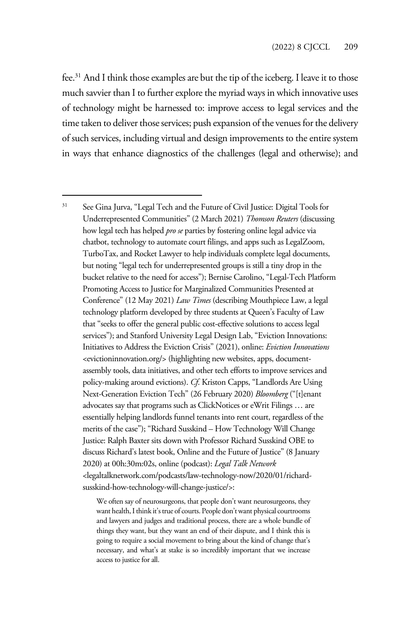fee.31 And I think those examples are but the tip of the iceberg. I leave it to those much savvier than I to further explore the myriad ways in which innovative uses of technology might be harnessed to: improve access to legal services and the time taken to deliver those services; push expansion of the venues for the delivery of such services, including virtual and design improvements to the entire system in ways that enhance diagnostics of the challenges (legal and otherwise); and

We often say of neurosurgeons, that people don't want neurosurgeons, they want health, I think it's true of courts. People don't want physical courtrooms and lawyers and judges and traditional process, there are a whole bundle of things they want, but they want an end of their dispute, and I think this is going to require a social movement to bring about the kind of change that's necessary, and what's at stake is so incredibly important that we increase access to justice for all.

<sup>&</sup>lt;sup>31</sup> See Gina Jurva, "Legal Tech and the Future of Civil Justice: Digital Tools for Underrepresented Communities" (2 March 2021) *Thomson Reuters* (discussing how legal tech has helped *pro se* parties by fostering online legal advice via chatbot, technology to automate court filings, and apps such as LegalZoom, TurboTax, and Rocket Lawyer to help individuals complete legal documents, but noting "legal tech for underrepresented groups is still a tiny drop in the bucket relative to the need for access"); Bernise Carolino, "Legal-Tech Platform Promoting Access to Justice for Marginalized Communities Presented at Conference" (12 May 2021) *Law Times* (describing Mouthpiece Law, a legal technology platform developed by three students at Queen's Faculty of Law that "seeks to offer the general public cost-effective solutions to access legal services"); and Stanford University Legal Design Lab, "Eviction Innovations: Initiatives to Address the Eviction Crisis" (2021), online: *Eviction Innovations* <evictioninnovation.org/> (highlighting new websites, apps, documentassembly tools, data initiatives, and other tech efforts to improve services and policy-making around evictions). *Cf*. Kriston Capps, "Landlords Are Using Next-Generation Eviction Tech" (26 February 2020) *Bloomberg* ("[t]enant advocates say that programs such as ClickNotices or eWrit Filings … are essentially helping landlords funnel tenants into rent court, regardless of the merits of the case"); "Richard Susskind – How Technology Will Change Justice: Ralph Baxter sits down with Professor Richard Susskind OBE to discuss Richard's latest book, Online and the Future of Justice" (8 January 2020) at 00h:30m:02s, online (podcast): *Legal Talk Network* <legaltalknetwork.com/podcasts/law-technology-now/2020/01/richardsusskind-how-technology-will-change-justice/>: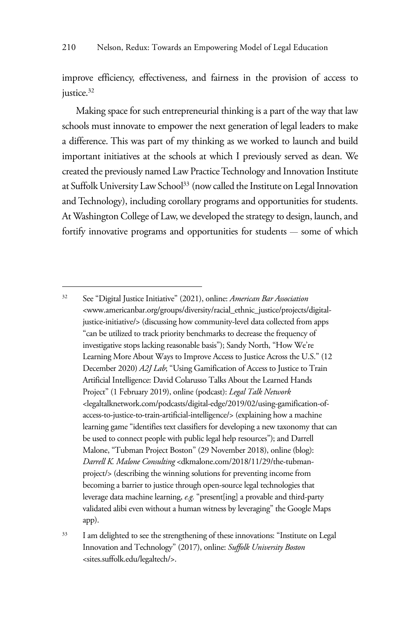improve efficiency, effectiveness, and fairness in the provision of access to justice.<sup>32</sup>

Making space for such entrepreneurial thinking is a part of the way that law schools must innovate to empower the next generation of legal leaders to make a difference. This was part of my thinking as we worked to launch and build important initiatives at the schools at which I previously served as dean. We created the previously named Law Practice Technology and Innovation Institute at Suffolk University Law School<sup>33</sup> (now called the Institute on Legal Innovation and Technology), including corollary programs and opportunities for students. At Washington College of Law, we developed the strategy to design, launch, and fortify innovative programs and opportunities for students — some of which

<sup>33</sup> I am delighted to see the strengthening of these innovations: "Institute on Legal Innovation and Technology" (2017), online: *Suffolk University Boston* <sites.suffolk.edu/legaltech/>.

<sup>32</sup> See "Digital Justice Initiative" (2021), online: *American Bar Association* <www.americanbar.org/groups/diversity/racial\_ethnic\_justice/projects/digitaljustice-initiative/> (discussing how community-level data collected from apps "can be utilized to track priority benchmarks to decrease the frequency of investigative stops lacking reasonable basis"); Sandy North, "How We're Learning More About Ways to Improve Access to Justice Across the U.S." (12 December 2020) *A2J Lab*; "Using Gamification of Access to Justice to Train Artificial Intelligence: David Colarusso Talks About the Learned Hands Project" (1 February 2019), online (podcast): *Legal Talk Network* <legaltalknetwork.com/podcasts/digital-edge/2019/02/using-gamification-ofaccess-to-justice-to-train-artificial-intelligence/> (explaining how a machine learning game "identifies text classifiers for developing a new taxonomy that can be used to connect people with public legal help resources"); and Darrell Malone, "Tubman Project Boston" (29 November 2018), online (blog): *Darrell K. Malone Consulting* <dkmalone.com/2018/11/29/the-tubmanproject/> (describing the winning solutions for preventing income from becoming a barrier to justice through open-source legal technologies that leverage data machine learning, *e.g.* "present[ing] a provable and third-party validated alibi even without a human witness by leveraging" the Google Maps app).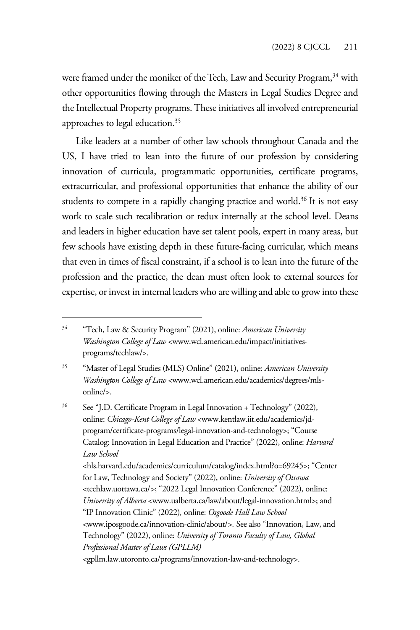were framed under the moniker of the Tech, Law and Security Program,<sup>34</sup> with other opportunities flowing through the Masters in Legal Studies Degree and the Intellectual Property programs. These initiatives all involved entrepreneurial approaches to legal education.35

Like leaders at a number of other law schools throughout Canada and the US, I have tried to lean into the future of our profession by considering innovation of curricula, programmatic opportunities, certificate programs, extracurricular, and professional opportunities that enhance the ability of our students to compete in a rapidly changing practice and world.<sup>36</sup> It is not easy work to scale such recalibration or redux internally at the school level. Deans and leaders in higher education have set talent pools, expert in many areas, but few schools have existing depth in these future-facing curricular, which means that even in times of fiscal constraint, if a school is to lean into the future of the profession and the practice, the dean must often look to external sources for expertise, or invest in internal leaders who are willing and able to grow into these

36 See "J.D. Certificate Program in Legal Innovation + Technology" (2022), online: *Chicago-Kent College of Law* <www.kentlaw.iit.edu/academics/jdprogram/certificate-programs/legal-innovation-and-technology>; "Course Catalog: Innovation in Legal Education and Practice" (2022), online: *Harvard Law School*  <hls.harvard.edu/academics/curriculum/catalog/index.html?o=69245>; "Center for Law, Technology and Society" (2022), online: *University of Ottawa*  <techlaw.uottawa.ca/*>*; "2022 Legal Innovation Conference" (2022), online: *University of Alberta* <www.ualberta.ca/law/about/legal-innovation.html>; and "IP Innovation Clinic" (2022)*,* online: *Osgoode Hall Law School* <www.iposgoode.ca/innovation-clinic/about/*>.* See also "Innovation, Law, and Technology" (2022), online: *University of Toronto Faculty of Law, Global Professional Master of Laws (GPLLM)* <gpllm.law.utoronto.ca/programs/innovation-law-and-technology>.

<sup>34 &</sup>quot;Tech, Law & Security Program" (2021), online: *American University Washington College of Law* <www.wcl.american.edu/impact/initiativesprograms/techlaw/>.

<sup>35 &</sup>quot;Master of Legal Studies (MLS) Online" (2021), online: *American University Washington College of Law* <www.wcl.american.edu/academics/degrees/mlsonline/>.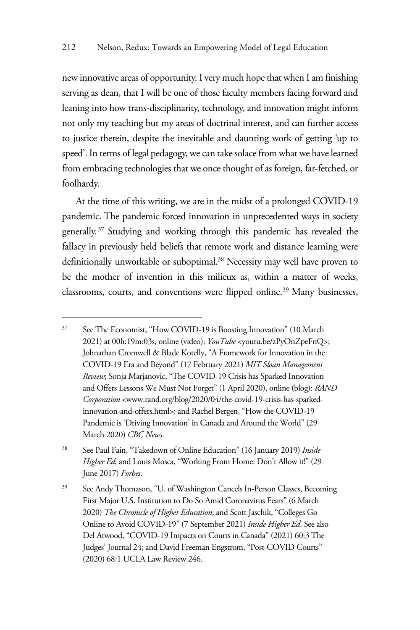new innovative areas of opportunity. I very much hope that when I am finishing serving as dean, that I will be one of those faculty members facing forward and leaning into how trans-disciplinarity, technology, and innovation might inform not only my teaching but my areas of doctrinal interest, and can further access to justice therein, despite the inevitable and daunting work of getting 'up to speed'. In terms of legal pedagogy, we can take solace from what we have learned from embracing technologies that we once thought of as foreign, far-fetched, or foolhardy.

At the time of this writing, we are in the midst of a prolonged COVID-19 pandemic. The pandemic forced innovation in unprecedented ways in society generally. 37 Studying and working through this pandemic has revealed the fallacy in previously held beliefs that remote work and distance learning were definitionally unworkable or suboptimal.<sup>38</sup> Necessity may well have proven to be the mother of invention in this milieux as, within a matter of weeks, classrooms, courts, and conventions were flipped online.<sup>39</sup> Many businesses,

<sup>37</sup> See The Economist, "How COVID-19 is Boosting Innovation" (10 March 2021) at 00h:19m:03s, online (video): *YouTube* <youtu.be/zPyOnZpeFnQ>; Johnathan Cromwell & Blade Kotelly, "A Framework for Innovation in the COVID-19 Era and Beyond" (17 February 2021) *MIT Sloan Management Review*; Sonja Marjanovic, "The COVID-19 Crisis has Sparked Innovation and Offers Lessons We Must Not Forget" (1 April 2020), online (blog): *RAND Corporation* <www.rand.org/blog/2020/04/the-covid-19-crisis-has-sparkedinnovation-and-offers.html>; and Rachel Bergen, "How the COVID-19 Pandemic is 'Driving Innovation' in Canada and Around the World" (29 March 2020) *CBC News*.

<sup>38</sup> See Paul Fain, "Takedown of Online Education" (16 January 2019) *Inside Higher Ed*; and Louis Mosca, "Working From Home: Don't Allow it!" (29 June 2017) *Forbes*.

<sup>39</sup> See Andy Thomason, "U. of Washington Cancels In-Person Classes, Becoming First Major U.S. Institution to Do So Amid Coronavirus Fears" (6 March 2020) *The Chronicle of Higher Education*; and Scott Jaschik, "Colleges Go Online to Avoid COVID-19" (7 September 2021) *Inside Higher Ed*. See also Del Atwood, "COVID-19 Impacts on Courts in Canada" (2021) 60:3 The Judges' Journal 24; and David Freeman Engstrom, "Post-COVID Courts" (2020) 68:1 UCLA Law Review 246.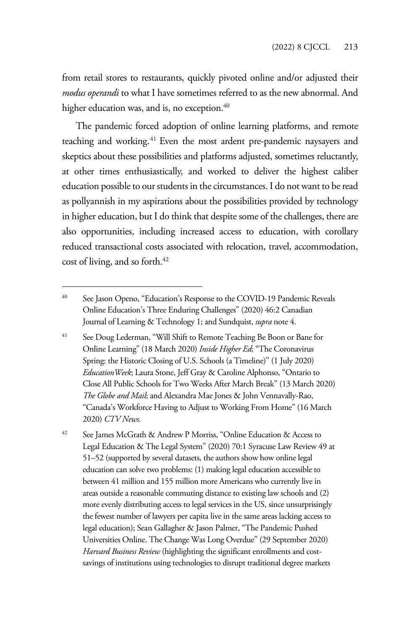from retail stores to restaurants, quickly pivoted online and/or adjusted their *modus operandi* to what I have sometimes referred to as the new abnormal. And higher education was, and is, no exception.<sup>40</sup>

The pandemic forced adoption of online learning platforms, and remote teaching and working.<sup>41</sup> Even the most ardent pre-pandemic naysayers and skeptics about these possibilities and platforms adjusted, sometimes reluctantly, at other times enthusiastically, and worked to deliver the highest caliber education possible to our students in the circumstances. I do not want to be read as pollyannish in my aspirations about the possibilities provided by technology in higher education, but I do think that despite some of the challenges, there are also opportunities, including increased access to education, with corollary reduced transactional costs associated with relocation, travel, accommodation, cost of living, and so forth.<sup>42</sup>

42 See James McGrath & Andrew P Morriss, "Online Education & Access to Legal Education & The Legal System" (2020) 70:1 Syracuse Law Review 49 at 51–52 (supported by several datasets, the authors show how online legal education can solve two problems: (1) making legal education accessible to between 41 million and 155 million more Americans who currently live in areas outside a reasonable commuting distance to existing law schools and (2) more evenly distributing access to legal services in the US, since unsurprisingly the fewest number of lawyers per capita live in the same areas lacking access to legal education); Sean Gallagher & Jason Palmer, "The Pandemic Pushed Universities Online. The Change Was Long Overdue" (29 September 2020) *Harvard Business Review* (highlighting the significant enrollments and costsavings of institutions using technologies to disrupt traditional degree markets

<sup>&</sup>lt;sup>40</sup> See Jason Openo, "Education's Response to the COVID-19 Pandemic Reveals Online Education's Three Enduring Challenges" (2020) 46:2 Canadian Journal of Learning & Technology 1; and Sundquist, *supra* note 4.

<sup>&</sup>lt;sup>41</sup> See Doug Lederman, "Will Shift to Remote Teaching Be Boon or Bane for Online Learning" (18 March 2020) *Inside Higher Ed*; "The Coronavirus Spring: the Historic Closing of U.S. Schools (a Timeline)" (1 July 2020) *EducationWeek*; Laura Stone, Jeff Gray & Caroline Alphonso, "Ontario to Close All Public Schools for Two Weeks After March Break" (13 March 2020) *The Globe and Mail*; and Alexandra Mae Jones & John Vennavally-Rao, "Canada's Workforce Having to Adjust to Working From Home" (16 March 2020) *CTV News*.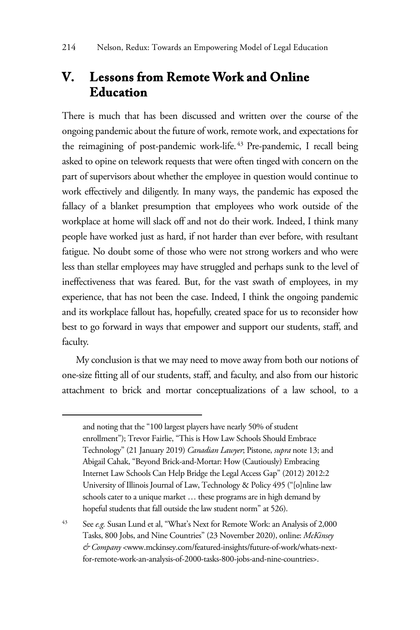## **V. Lessons from Remote Work and Online Education**

There is much that has been discussed and written over the course of the ongoing pandemic about the future of work, remote work, and expectations for the reimagining of post-pandemic work-life. 43 Pre-pandemic, I recall being asked to opine on telework requests that were often tinged with concern on the part of supervisors about whether the employee in question would continue to work effectively and diligently. In many ways, the pandemic has exposed the fallacy of a blanket presumption that employees who work outside of the workplace at home will slack off and not do their work. Indeed, I think many people have worked just as hard, if not harder than ever before, with resultant fatigue. No doubt some of those who were not strong workers and who were less than stellar employees may have struggled and perhaps sunk to the level of ineffectiveness that was feared. But, for the vast swath of employees, in my experience, that has not been the case. Indeed, I think the ongoing pandemic and its workplace fallout has, hopefully, created space for us to reconsider how best to go forward in ways that empower and support our students, staff, and faculty.

My conclusion is that we may need to move away from both our notions of one-size fitting all of our students, staff, and faculty, and also from our historic attachment to brick and mortar conceptualizations of a law school, to a

and noting that the "100 largest players have nearly 50% of student enrollment"); Trevor Fairlie, "This is How Law Schools Should Embrace Technology" (21 January 2019) *Canadian Lawyer*; Pistone, *supra* note 13; and Abigail Cahak, "Beyond Brick-and-Mortar: How (Cautiously) Embracing Internet Law Schools Can Help Bridge the Legal Access Gap" (2012) 2012:2 University of Illinois Journal of Law, Technology & Policy 495 ("[o]nline law schools cater to a unique market … these programs are in high demand by hopeful students that fall outside the law student norm" at 526).

<sup>43</sup> See *e.g.* Susan Lund et al, "What's Next for Remote Work: an Analysis of 2,000 Tasks, 800 Jobs, and Nine Countries" (23 November 2020), online: *McKinsey & Company* <www.mckinsey.com/featured-insights/future-of-work/whats-nextfor-remote-work-an-analysis-of-2000-tasks-800-jobs-and-nine-countries>.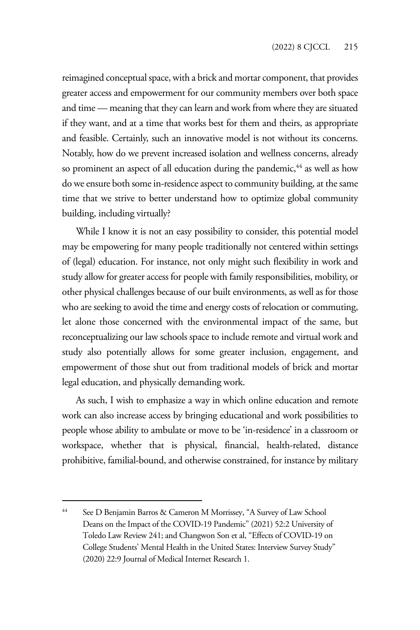reimagined conceptual space, with a brick and mortar component, that provides greater access and empowerment for our community members over both space and time — meaning that they can learn and work from where they are situated if they want, and at a time that works best for them and theirs, as appropriate and feasible. Certainly, such an innovative model is not without its concerns. Notably, how do we prevent increased isolation and wellness concerns, already so prominent an aspect of all education during the pandemic,<sup>44</sup> as well as how do we ensure both some in-residence aspect to community building, at the same time that we strive to better understand how to optimize global community building, including virtually?

While I know it is not an easy possibility to consider, this potential model may be empowering for many people traditionally not centered within settings of (legal) education. For instance, not only might such flexibility in work and study allow for greater access for people with family responsibilities, mobility, or other physical challenges because of our built environments, as well as for those who are seeking to avoid the time and energy costs of relocation or commuting, let alone those concerned with the environmental impact of the same, but reconceptualizing our law schools space to include remote and virtual work and study also potentially allows for some greater inclusion, engagement, and empowerment of those shut out from traditional models of brick and mortar legal education, and physically demanding work.

As such, I wish to emphasize a way in which online education and remote work can also increase access by bringing educational and work possibilities to people whose ability to ambulate or move to be 'in-residence' in a classroom or workspace, whether that is physical, financial, health-related, distance prohibitive, familial-bound, and otherwise constrained, for instance by military

<sup>44</sup> See D Benjamin Barros & Cameron M Morrissey, "A Survey of Law School Deans on the Impact of the COVID-19 Pandemic" (2021) 52:2 University of Toledo Law Review 241; and Changwon Son et al, "Effects of COVID-19 on College Students' Mental Health in the United States: Interview Survey Study" (2020) 22:9 Journal of Medical Internet Research 1.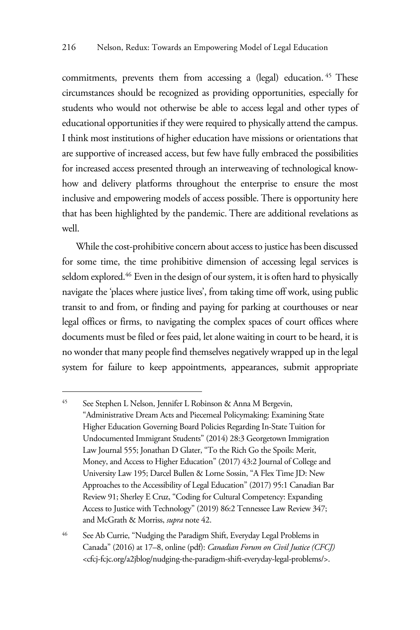commitments, prevents them from accessing a (legal) education. <sup>45</sup> These circumstances should be recognized as providing opportunities, especially for students who would not otherwise be able to access legal and other types of educational opportunities if they were required to physically attend the campus. I think most institutions of higher education have missions or orientations that are supportive of increased access, but few have fully embraced the possibilities for increased access presented through an interweaving of technological knowhow and delivery platforms throughout the enterprise to ensure the most inclusive and empowering models of access possible. There is opportunity here that has been highlighted by the pandemic. There are additional revelations as well.

While the cost-prohibitive concern about access to justice has been discussed for some time, the time prohibitive dimension of accessing legal services is seldom explored.<sup>46</sup> Even in the design of our system, it is often hard to physically navigate the 'places where justice lives', from taking time off work, using public transit to and from, or finding and paying for parking at courthouses or near legal offices or firms, to navigating the complex spaces of court offices where documents must be filed or fees paid, let alone waiting in court to be heard, it is no wonder that many people find themselves negatively wrapped up in the legal system for failure to keep appointments, appearances, submit appropriate

<sup>45</sup> See Stephen L Nelson, Jennifer L Robinson & Anna M Bergevin, "Administrative Dream Acts and Piecemeal Policymaking: Examining State Higher Education Governing Board Policies Regarding In-State Tuition for Undocumented Immigrant Students" (2014) 28:3 Georgetown Immigration Law Journal 555; Jonathan D Glater, "To the Rich Go the Spoils: Merit, Money, and Access to Higher Education" (2017) 43:2 Journal of College and University Law 195; Darcel Bullen & Lorne Sossin, "A Flex Time JD: New Approaches to the Accessibility of Legal Education" (2017) 95:1 Canadian Bar Review 91; Sherley E Cruz, "Coding for Cultural Competency: Expanding Access to Justice with Technology" (2019) 86:2 Tennessee Law Review 347; and McGrath & Morriss, *supra* note 42.

<sup>46</sup> See Ab Currie, "Nudging the Paradigm Shift, Everyday Legal Problems in Canada" (2016) at 17–8, online (pdf): *Canadian Forum on Civil Justice (CFCJ)* <cfcj-fcjc.org/a2jblog/nudging-the-paradigm-shift-everyday-legal-problems/>.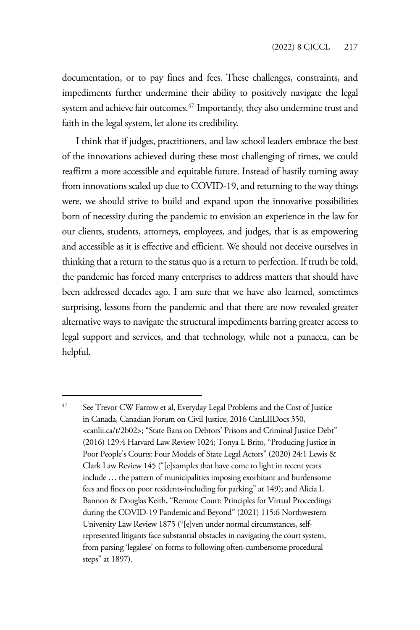documentation, or to pay fines and fees. These challenges, constraints, and impediments further undermine their ability to positively navigate the legal system and achieve fair outcomes.<sup>47</sup> Importantly, they also undermine trust and faith in the legal system, let alone its credibility.

I think that if judges, practitioners, and law school leaders embrace the best of the innovations achieved during these most challenging of times, we could reaffirm a more accessible and equitable future. Instead of hastily turning away from innovations scaled up due to COVID-19, and returning to the way things were, we should strive to build and expand upon the innovative possibilities born of necessity during the pandemic to envision an experience in the law for our clients, students, attorneys, employees, and judges, that is as empowering and accessible as it is effective and efficient. We should not deceive ourselves in thinking that a return to the status quo is a return to perfection. If truth be told, the pandemic has forced many enterprises to address matters that should have been addressed decades ago. I am sure that we have also learned, sometimes surprising, lessons from the pandemic and that there are now revealed greater alternative ways to navigate the structural impediments barring greater access to legal support and services, and that technology, while not a panacea, can be helpful.

<sup>&</sup>lt;sup>47</sup> See Trevor CW Farrow et al, Everyday Legal Problems and the Cost of Justice in Canada, Canadian Forum on Civil Justice, 2016 CanLIIDocs 350, <canlii.ca/t/2b02>; "State Bans on Debtors' Prisons and Criminal Justice Debt" (2016) 129:4 Harvard Law Review 1024; Tonya L Brito, "Producing Justice in Poor People's Courts: Four Models of State Legal Actors" (2020) 24:1 Lewis & Clark Law Review 145 ("[e]xamples that have come to light in recent years include … the pattern of municipalities imposing exorbitant and burdensome fees and fines on poor residents-including for parking" at 149); and Alicia L Bannon & Douglas Keith, "Remote Court: Principles for Virtual Proceedings during the COVID-19 Pandemic and Beyond" (2021) 115:6 Northwestern University Law Review 1875 ("[e]ven under normal circumstances, selfrepresented litigants face substantial obstacles in navigating the court system, from parsing 'legalese' on forms to following often-cumbersome procedural steps" at 1897).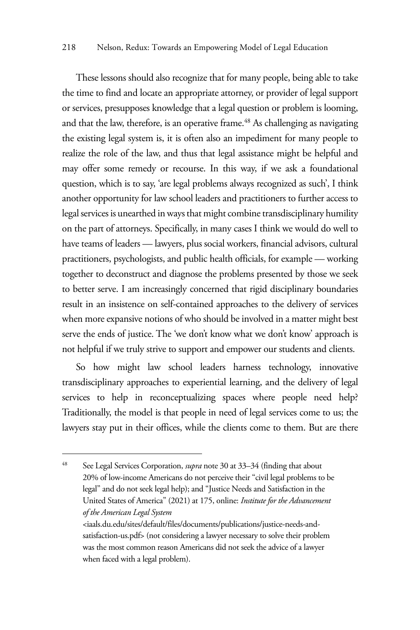These lessons should also recognize that for many people, being able to take the time to find and locate an appropriate attorney, or provider of legal support or services, presupposes knowledge that a legal question or problem is looming, and that the law, therefore, is an operative frame.<sup>48</sup> As challenging as navigating the existing legal system is, it is often also an impediment for many people to realize the role of the law, and thus that legal assistance might be helpful and may offer some remedy or recourse. In this way, if we ask a foundational question, which is to say, 'are legal problems always recognized as such', I think another opportunity for law school leaders and practitioners to further access to legal services is unearthed in ways that might combine transdisciplinary humility on the part of attorneys. Specifically, in many cases I think we would do well to have teams of leaders — lawyers, plus social workers, financial advisors, cultural practitioners, psychologists, and public health officials, for example — working together to deconstruct and diagnose the problems presented by those we seek to better serve. I am increasingly concerned that rigid disciplinary boundaries result in an insistence on self-contained approaches to the delivery of services when more expansive notions of who should be involved in a matter might best serve the ends of justice. The 'we don't know what we don't know' approach is not helpful if we truly strive to support and empower our students and clients.

So how might law school leaders harness technology, innovative transdisciplinary approaches to experiential learning, and the delivery of legal services to help in reconceptualizing spaces where people need help? Traditionally, the model is that people in need of legal services come to us; the lawyers stay put in their offices, while the clients come to them. But are there

<sup>48</sup> See Legal Services Corporation, *supra* note 30 at 33–34 (finding that about 20% of low-income Americans do not perceive their "civil legal problems to be legal" and do not seek legal help); and "Justice Needs and Satisfaction in the United States of America" (2021) at 175, online: *Institute for the Advancement of the American Legal System* <iaals.du.edu/sites/default/files/documents/publications/justice-needs-andsatisfaction-us.pdf> (not considering a lawyer necessary to solve their problem was the most common reason Americans did not seek the advice of a lawyer when faced with a legal problem).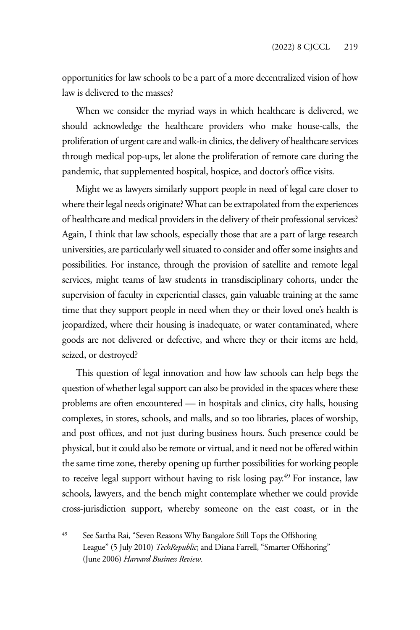opportunities for law schools to be a part of a more decentralized vision of how law is delivered to the masses?

When we consider the myriad ways in which healthcare is delivered, we should acknowledge the healthcare providers who make house-calls, the proliferation of urgent care and walk-in clinics, the delivery of healthcare services through medical pop-ups, let alone the proliferation of remote care during the pandemic, that supplemented hospital, hospice, and doctor's office visits.

Might we as lawyers similarly support people in need of legal care closer to where their legal needs originate? What can be extrapolated from the experiences of healthcare and medical providers in the delivery of their professional services? Again, I think that law schools, especially those that are a part of large research universities, are particularly well situated to consider and offer some insights and possibilities. For instance, through the provision of satellite and remote legal services, might teams of law students in transdisciplinary cohorts, under the supervision of faculty in experiential classes, gain valuable training at the same time that they support people in need when they or their loved one's health is jeopardized, where their housing is inadequate, or water contaminated, where goods are not delivered or defective, and where they or their items are held, seized, or destroyed?

This question of legal innovation and how law schools can help begs the question of whether legal support can also be provided in the spaces where these problems are often encountered — in hospitals and clinics, city halls, housing complexes, in stores, schools, and malls, and so too libraries, places of worship, and post offices, and not just during business hours. Such presence could be physical, but it could also be remote or virtual, and it need not be offered within the same time zone, thereby opening up further possibilities for working people to receive legal support without having to risk losing pay.<sup>49</sup> For instance, law schools, lawyers, and the bench might contemplate whether we could provide cross-jurisdiction support, whereby someone on the east coast, or in the

<sup>49</sup> See Sartha Rai, "Seven Reasons Why Bangalore Still Tops the Offshoring League" (5 July 2010) *TechRepublic*; and Diana Farrell, "Smarter Offshoring" (June 2006) *Harvard Business Review*.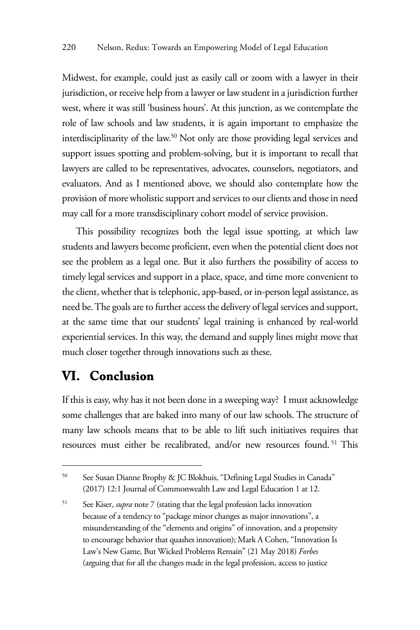Midwest, for example, could just as easily call or zoom with a lawyer in their jurisdiction, or receive help from a lawyer or law student in a jurisdiction further west, where it was still 'business hours'. At this junction, as we contemplate the role of law schools and law students, it is again important to emphasize the interdisciplinarity of the law.50 Not only are those providing legal services and support issues spotting and problem-solving, but it is important to recall that lawyers are called to be representatives, advocates, counselors, negotiators, and evaluators. And as I mentioned above, we should also contemplate how the provision of more wholistic support and services to our clients and those in need may call for a more transdisciplinary cohort model of service provision.

This possibility recognizes both the legal issue spotting, at which law students and lawyers become proficient, even when the potential client does not see the problem as a legal one. But it also furthers the possibility of access to timely legal services and support in a place, space, and time more convenient to the client, whether that is telephonic, app-based, or in-person legal assistance, as need be. The goals are to further access the delivery of legal services and support, at the same time that our students' legal training is enhanced by real-world experiential services. In this way, the demand and supply lines might move that much closer together through innovations such as these.

## **VI. Conclusion**

If this is easy, why has it not been done in a sweeping way? I must acknowledge some challenges that are baked into many of our law schools. The structure of many law schools means that to be able to lift such initiatives requires that resources must either be recalibrated, and/or new resources found. 51 This

<sup>50</sup> See Susan Dianne Brophy & JC Blokhuis, "Defining Legal Studies in Canada" (2017) 12:1 Journal of Commonwealth Law and Legal Education 1 at 12.

<sup>51</sup> See Kiser, *supra* note 7 (stating that the legal profession lacks innovation because of a tendency to "package minor changes as major innovations", a misunderstanding of the "elements and origins" of innovation, and a propensity to encourage behavior that quashes innovation); Mark A Cohen, "Innovation Is Law's New Game, But Wicked Problems Remain" (21 May 2018) *Forbes* (arguing that for all the changes made in the legal profession, access to justice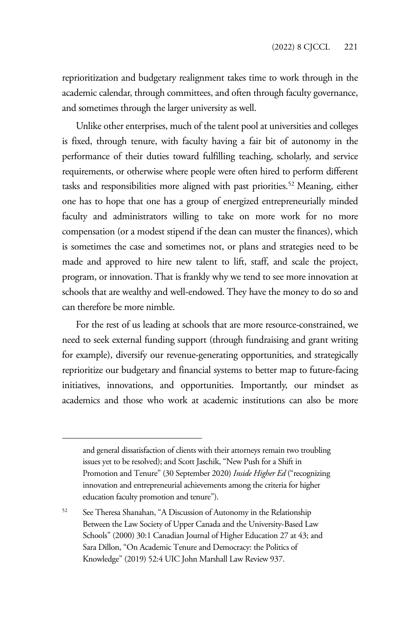reprioritization and budgetary realignment takes time to work through in the academic calendar, through committees, and often through faculty governance, and sometimes through the larger university as well.

Unlike other enterprises, much of the talent pool at universities and colleges is fixed, through tenure, with faculty having a fair bit of autonomy in the performance of their duties toward fulfilling teaching, scholarly, and service requirements, or otherwise where people were often hired to perform different tasks and responsibilities more aligned with past priorities.<sup>52</sup> Meaning, either one has to hope that one has a group of energized entrepreneurially minded faculty and administrators willing to take on more work for no more compensation (or a modest stipend if the dean can muster the finances), which is sometimes the case and sometimes not, or plans and strategies need to be made and approved to hire new talent to lift, staff, and scale the project, program, or innovation. That is frankly why we tend to see more innovation at schools that are wealthy and well-endowed. They have the money to do so and can therefore be more nimble.

For the rest of us leading at schools that are more resource-constrained, we need to seek external funding support (through fundraising and grant writing for example), diversify our revenue-generating opportunities, and strategically reprioritize our budgetary and financial systems to better map to future-facing initiatives, innovations, and opportunities. Importantly, our mindset as academics and those who work at academic institutions can also be more

and general dissatisfaction of clients with their attorneys remain two troubling issues yet to be resolved); and Scott Jaschik, "New Push for a Shift in Promotion and Tenure" (30 September 2020) *Inside Higher Ed* ("recognizing innovation and entrepreneurial achievements among the criteria for higher education faculty promotion and tenure").

<sup>&</sup>lt;sup>52</sup> See Theresa Shanahan, "A Discussion of Autonomy in the Relationship Between the Law Society of Upper Canada and the University-Based Law Schools" (2000) 30:1 Canadian Journal of Higher Education 27 at 43; and Sara Dillon, "On Academic Tenure and Democracy: the Politics of Knowledge" (2019) 52:4 UIC John Marshall Law Review 937.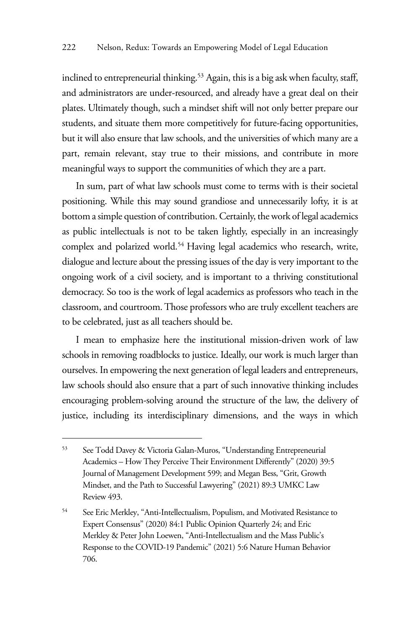inclined to entrepreneurial thinking.<sup>53</sup> Again, this is a big ask when faculty, staff, and administrators are under-resourced, and already have a great deal on their plates. Ultimately though, such a mindset shift will not only better prepare our students, and situate them more competitively for future-facing opportunities, but it will also ensure that law schools, and the universities of which many are a part, remain relevant, stay true to their missions, and contribute in more meaningful ways to support the communities of which they are a part.

In sum, part of what law schools must come to terms with is their societal positioning. While this may sound grandiose and unnecessarily lofty, it is at bottom a simple question of contribution. Certainly, the work of legal academics as public intellectuals is not to be taken lightly, especially in an increasingly complex and polarized world.<sup>54</sup> Having legal academics who research, write, dialogue and lecture about the pressing issues of the day is very important to the ongoing work of a civil society, and is important to a thriving constitutional democracy. So too is the work of legal academics as professors who teach in the classroom, and courtroom. Those professors who are truly excellent teachers are to be celebrated, just as all teachers should be.

I mean to emphasize here the institutional mission-driven work of law schools in removing roadblocks to justice. Ideally, our work is much larger than ourselves. In empowering the next generation of legal leaders and entrepreneurs, law schools should also ensure that a part of such innovative thinking includes encouraging problem-solving around the structure of the law, the delivery of justice, including its interdisciplinary dimensions, and the ways in which

<sup>53</sup> See Todd Davey & Victoria Galan-Muros, "Understanding Entrepreneurial Academics – How They Perceive Their Environment Differently" (2020) 39:5 Journal of Management Development 599; and Megan Bess, "Grit, Growth Mindset, and the Path to Successful Lawyering" (2021) 89:3 UMKC Law Review 493.

<sup>&</sup>lt;sup>54</sup> See Eric Merkley, "Anti-Intellectualism, Populism, and Motivated Resistance to Expert Consensus" (2020) 84:1 Public Opinion Quarterly 24; and Eric Merkley & Peter John Loewen, "Anti-Intellectualism and the Mass Public's Response to the COVID-19 Pandemic" (2021) 5:6 Nature Human Behavior 706.